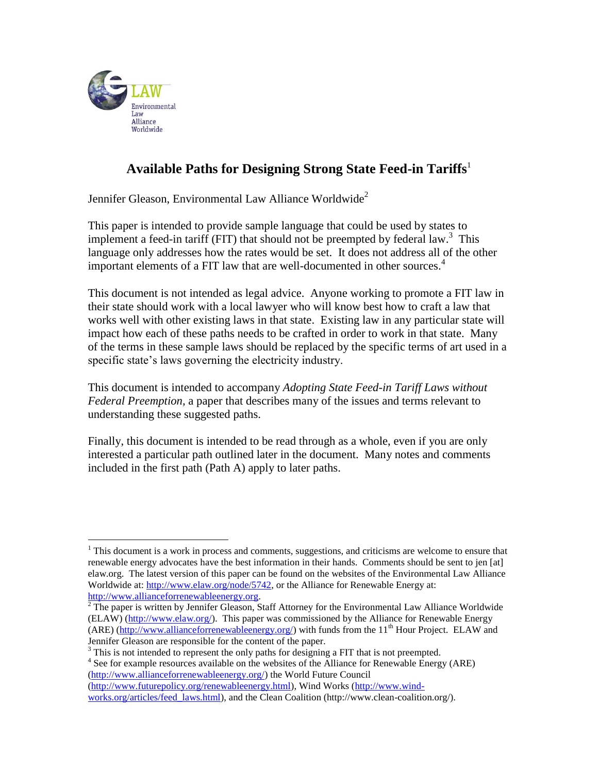

 $\overline{a}$ 

# **Available Paths for Designing Strong State Feed-in Tariffs**<sup>1</sup>

Jennifer Gleason, Environmental Law Alliance Worldwide<sup>2</sup>

This paper is intended to provide sample language that could be used by states to implement a feed-in tariff (FIT) that should not be preempted by federal law.<sup>3</sup> This language only addresses how the rates would be set. It does not address all of the other important elements of a FIT law that are well-documented in other sources.<sup>4</sup>

This document is not intended as legal advice. Anyone working to promote a FIT law in their state should work with a local lawyer who will know best how to craft a law that works well with other existing laws in that state. Existing law in any particular state will impact how each of these paths needs to be crafted in order to work in that state. Many of the terms in these sample laws should be replaced by the specific terms of art used in a specific state's laws governing the electricity industry.

This document is intended to accompany *Adopting State Feed-in Tariff Laws without Federal Preemption,* a paper that describes many of the issues and terms relevant to understanding these suggested paths.

Finally, this document is intended to be read through as a whole, even if you are only interested a particular path outlined later in the document. Many notes and comments included in the first path (Path A) apply to later paths.

<sup>3</sup> This is not intended to represent the only paths for designing a FIT that is not preempted.

<sup>4</sup> See for example resources available on the websites of the Alliance for Renewable Energy (ARE) [\(http://www.allianceforrenewableenergy.org/\)](http://www.allianceforrenewableenergy.org/) the World Future Council [\(http://www.futurepolicy.org/renewableenergy.html\)](http://www.futurepolicy.org/renewableenergy.html), Wind Works [\(http://www.wind-](http://www.wind-works.org/articles/feed_laws.html)

[works.org/articles/feed\\_laws.html\)](http://www.wind-works.org/articles/feed_laws.html), and the Clean Coalition (http://www.clean-coalition.org/).

<sup>&</sup>lt;sup>1</sup> This document is a work in process and comments, suggestions, and criticisms are welcome to ensure that renewable energy advocates have the best information in their hands. Comments should be sent to jen [at] elaw.org. The latest version of this paper can be found on the websites of the Environmental Law Alliance Worldwide at: [http://www.elaw.org/node/5742,](http://www.elaw.org/node/5742) or the Alliance for Renewable Energy at: [http://www.allianceforrenewableenergy.org.](http://www.allianceforrenewableenergy.org/)

 $\frac{1}{2}$  The paper is written by Jennifer Gleason, Staff Attorney for the Environmental Law Alliance Worldwide (ELAW) [\(http://www.elaw.org/\)](http://www.elaw.org/). This paper was commissioned by the Alliance for Renewable Energy  $(ARE)$  (http://www.allianceforrenewable energy.org/) with funds from the  $11<sup>th</sup>$  Hour Project. ELAW and Jennifer Gleason are responsible for the content of the paper.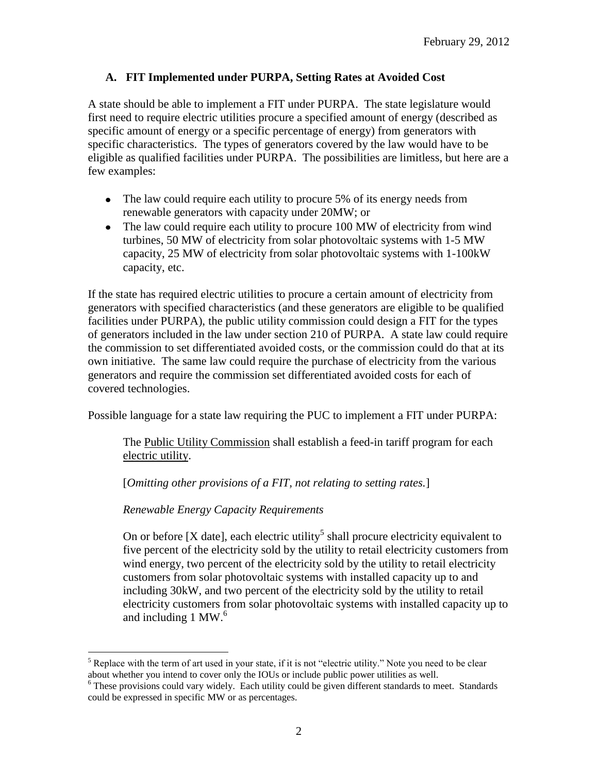## **A. FIT Implemented under PURPA, Setting Rates at Avoided Cost**

A state should be able to implement a FIT under PURPA. The state legislature would first need to require electric utilities procure a specified amount of energy (described as specific amount of energy or a specific percentage of energy) from generators with specific characteristics. The types of generators covered by the law would have to be eligible as qualified facilities under PURPA. The possibilities are limitless, but here are a few examples:

- The law could require each utility to procure 5% of its energy needs from renewable generators with capacity under 20MW; or
- The law could require each utility to procure 100 MW of electricity from wind turbines, 50 MW of electricity from solar photovoltaic systems with 1-5 MW capacity, 25 MW of electricity from solar photovoltaic systems with 1-100kW capacity, etc.

If the state has required electric utilities to procure a certain amount of electricity from generators with specified characteristics (and these generators are eligible to be qualified facilities under PURPA), the public utility commission could design a FIT for the types of generators included in the law under section 210 of PURPA. A state law could require the commission to set differentiated avoided costs, or the commission could do that at its own initiative. The same law could require the purchase of electricity from the various generators and require the commission set differentiated avoided costs for each of covered technologies.

Possible language for a state law requiring the PUC to implement a FIT under PURPA:

The Public Utility Commission shall establish a feed-in tariff program for each electric utility.

[*Omitting other provisions of a FIT, not relating to setting rates.*]

*Renewable Energy Capacity Requirements*

On or before [X date], each electric utility<sup>5</sup> shall procure electricity equivalent to five percent of the electricity sold by the utility to retail electricity customers from wind energy, two percent of the electricity sold by the utility to retail electricity customers from solar photovoltaic systems with installed capacity up to and including 30kW, and two percent of the electricity sold by the utility to retail electricity customers from solar photovoltaic systems with installed capacity up to and including 1 MW. $<sup>6</sup>$ </sup>

 $\overline{a}$ <sup>5</sup> Replace with the term of art used in your state, if it is not "electric utility." Note you need to be clear about whether you intend to cover only the IOUs or include public power utilities as well.

<sup>&</sup>lt;sup>6</sup> These provisions could vary widely. Each utility could be given different standards to meet. Standards could be expressed in specific MW or as percentages.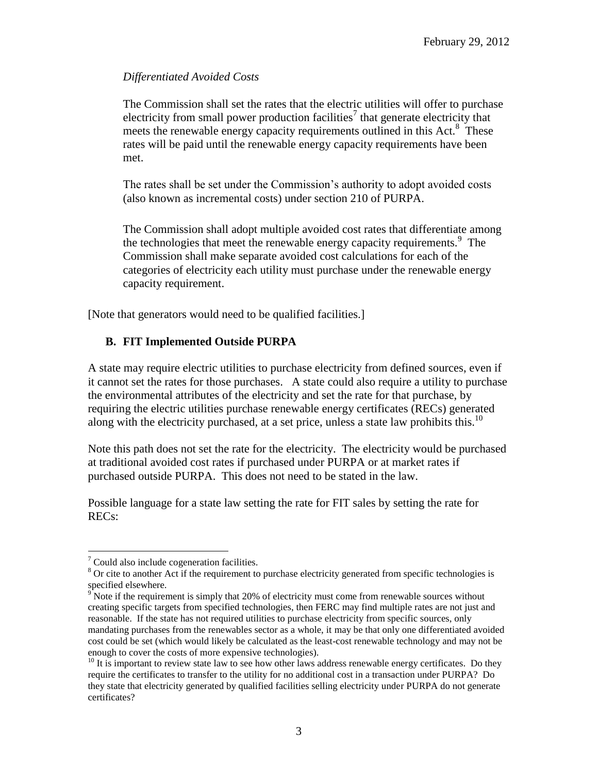### *Differentiated Avoided Costs*

The Commission shall set the rates that the electric utilities will offer to purchase electricity from small power production facilities<sup>7</sup> that generate electricity that meets the renewable energy capacity requirements outlined in this Act.<sup>8</sup> These rates will be paid until the renewable energy capacity requirements have been met.

The rates shall be set under the Commission's authority to adopt avoided costs (also known as incremental costs) under section 210 of PURPA.

The Commission shall adopt multiple avoided cost rates that differentiate among the technologies that meet the renewable energy capacity requirements. $9$  The Commission shall make separate avoided cost calculations for each of the categories of electricity each utility must purchase under the renewable energy capacity requirement.

[Note that generators would need to be qualified facilities.]

## **B. FIT Implemented Outside PURPA**

A state may require electric utilities to purchase electricity from defined sources, even if it cannot set the rates for those purchases. A state could also require a utility to purchase the environmental attributes of the electricity and set the rate for that purchase, by requiring the electric utilities purchase renewable energy certificates (RECs) generated along with the electricity purchased, at a set price, unless a state law prohibits this.<sup>10</sup>

Note this path does not set the rate for the electricity. The electricity would be purchased at traditional avoided cost rates if purchased under PURPA or at market rates if purchased outside PURPA. This does not need to be stated in the law.

Possible language for a state law setting the rate for FIT sales by setting the rate for RECs:

 $\overline{a}$ 

 $7$  Could also include cogeneration facilities.

<sup>&</sup>lt;sup>8</sup> Or cite to another Act if the requirement to purchase electricity generated from specific technologies is specified elsewhere.

 $9^{\circ}$  Note if the requirement is simply that 20% of electricity must come from renewable sources without creating specific targets from specified technologies, then FERC may find multiple rates are not just and reasonable. If the state has not required utilities to purchase electricity from specific sources, only mandating purchases from the renewables sector as a whole, it may be that only one differentiated avoided cost could be set (which would likely be calculated as the least-cost renewable technology and may not be enough to cover the costs of more expensive technologies).

 $10$  It is important to review state law to see how other laws address renewable energy certificates. Do they require the certificates to transfer to the utility for no additional cost in a transaction under PURPA? Do they state that electricity generated by qualified facilities selling electricity under PURPA do not generate certificates?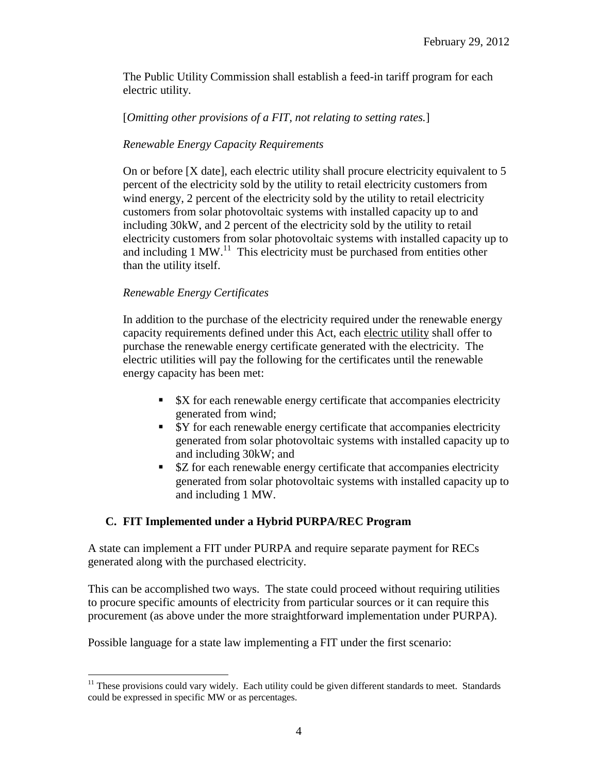The Public Utility Commission shall establish a feed-in tariff program for each electric utility.

#### [*Omitting other provisions of a FIT, not relating to setting rates.*]

## *Renewable Energy Capacity Requirements*

On or before [X date], each electric utility shall procure electricity equivalent to 5 percent of the electricity sold by the utility to retail electricity customers from wind energy, 2 percent of the electricity sold by the utility to retail electricity customers from solar photovoltaic systems with installed capacity up to and including 30kW, and 2 percent of the electricity sold by the utility to retail electricity customers from solar photovoltaic systems with installed capacity up to and including 1 MW.<sup>11</sup> This electricity must be purchased from entities other than the utility itself.

#### *Renewable Energy Certificates*

 $\overline{a}$ 

In addition to the purchase of the electricity required under the renewable energy capacity requirements defined under this Act, each electric utility shall offer to purchase the renewable energy certificate generated with the electricity. The electric utilities will pay the following for the certificates until the renewable energy capacity has been met:

- $\bullet$  \$X for each renewable energy certificate that accompanies electricity generated from wind;
- \$Y for each renewable energy certificate that accompanies electricity generated from solar photovoltaic systems with installed capacity up to and including 30kW; and
- **EX** SZ for each renewable energy certificate that accompanies electricity generated from solar photovoltaic systems with installed capacity up to and including 1 MW.

## **C. FIT Implemented under a Hybrid PURPA/REC Program**

A state can implement a FIT under PURPA and require separate payment for RECs generated along with the purchased electricity.

This can be accomplished two ways. The state could proceed without requiring utilities to procure specific amounts of electricity from particular sources or it can require this procurement (as above under the more straightforward implementation under PURPA).

Possible language for a state law implementing a FIT under the first scenario:

 $11$  These provisions could vary widely. Each utility could be given different standards to meet. Standards could be expressed in specific MW or as percentages.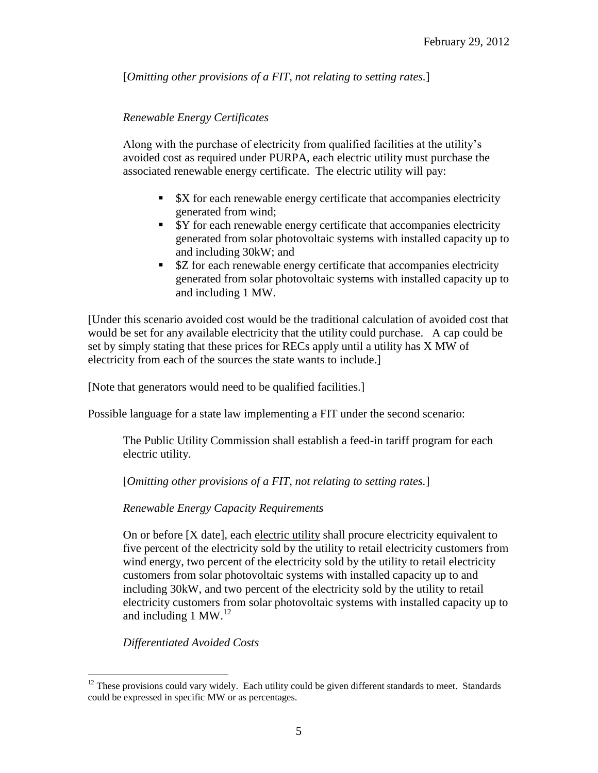[*Omitting other provisions of a FIT, not relating to setting rates.*]

## *Renewable Energy Certificates*

Along with the purchase of electricity from qualified facilities at the utility's avoided cost as required under PURPA, each electric utility must purchase the associated renewable energy certificate. The electric utility will pay:

- $\bullet$  \$X for each renewable energy certificate that accompanies electricity generated from wind;
- **Sy** for each renewable energy certificate that accompanies electricity generated from solar photovoltaic systems with installed capacity up to and including 30kW; and
- **EX** SZ for each renewable energy certificate that accompanies electricity generated from solar photovoltaic systems with installed capacity up to and including 1 MW.

[Under this scenario avoided cost would be the traditional calculation of avoided cost that would be set for any available electricity that the utility could purchase. A cap could be set by simply stating that these prices for RECs apply until a utility has X MW of electricity from each of the sources the state wants to include.]

[Note that generators would need to be qualified facilities.]

Possible language for a state law implementing a FIT under the second scenario:

The Public Utility Commission shall establish a feed-in tariff program for each electric utility.

[*Omitting other provisions of a FIT, not relating to setting rates.*]

*Renewable Energy Capacity Requirements*

On or before [X date], each electric utility shall procure electricity equivalent to five percent of the electricity sold by the utility to retail electricity customers from wind energy, two percent of the electricity sold by the utility to retail electricity customers from solar photovoltaic systems with installed capacity up to and including 30kW, and two percent of the electricity sold by the utility to retail electricity customers from solar photovoltaic systems with installed capacity up to and including 1 MW. $^{12}$ 

*Differentiated Avoided Costs*

 $\overline{a}$  $12$  These provisions could vary widely. Each utility could be given different standards to meet. Standards could be expressed in specific MW or as percentages.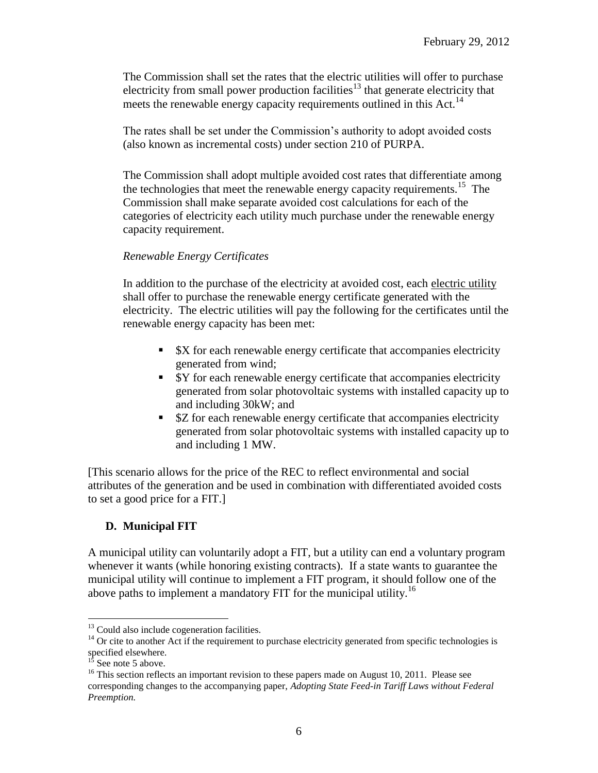The Commission shall set the rates that the electric utilities will offer to purchase electricity from small power production facilities<sup>13</sup> that generate electricity that meets the renewable energy capacity requirements outlined in this Act.<sup>14</sup>

The rates shall be set under the Commission's authority to adopt avoided costs (also known as incremental costs) under section 210 of PURPA.

The Commission shall adopt multiple avoided cost rates that differentiate among the technologies that meet the renewable energy capacity requirements.<sup>15</sup> The Commission shall make separate avoided cost calculations for each of the categories of electricity each utility much purchase under the renewable energy capacity requirement.

#### *Renewable Energy Certificates*

In addition to the purchase of the electricity at avoided cost, each electric utility shall offer to purchase the renewable energy certificate generated with the electricity. The electric utilities will pay the following for the certificates until the renewable energy capacity has been met:

- $\bullet$  **SX** for each renewable energy certificate that accompanies electricity generated from wind;
- **SY** for each renewable energy certificate that accompanies electricity generated from solar photovoltaic systems with installed capacity up to and including 30kW; and
- **EX** SZ for each renewable energy certificate that accompanies electricity generated from solar photovoltaic systems with installed capacity up to and including 1 MW.

[This scenario allows for the price of the REC to reflect environmental and social attributes of the generation and be used in combination with differentiated avoided costs to set a good price for a FIT.]

## **D. Municipal FIT**

A municipal utility can voluntarily adopt a FIT, but a utility can end a voluntary program whenever it wants (while honoring existing contracts). If a state wants to guarantee the municipal utility will continue to implement a FIT program, it should follow one of the above paths to implement a mandatory FIT for the municipal utility.<sup>16</sup>

 $\overline{a}$  $13$  Could also include cogeneration facilities.

<sup>&</sup>lt;sup>14</sup> Or cite to another Act if the requirement to purchase electricity generated from specific technologies is specified elsewhere.

 $15$  See note 5 above.

<sup>&</sup>lt;sup>16</sup> This section reflects an important revision to these papers made on August 10, 2011. Please see corresponding changes to the accompanying paper, *Adopting State Feed-in Tariff Laws without Federal Preemption.*